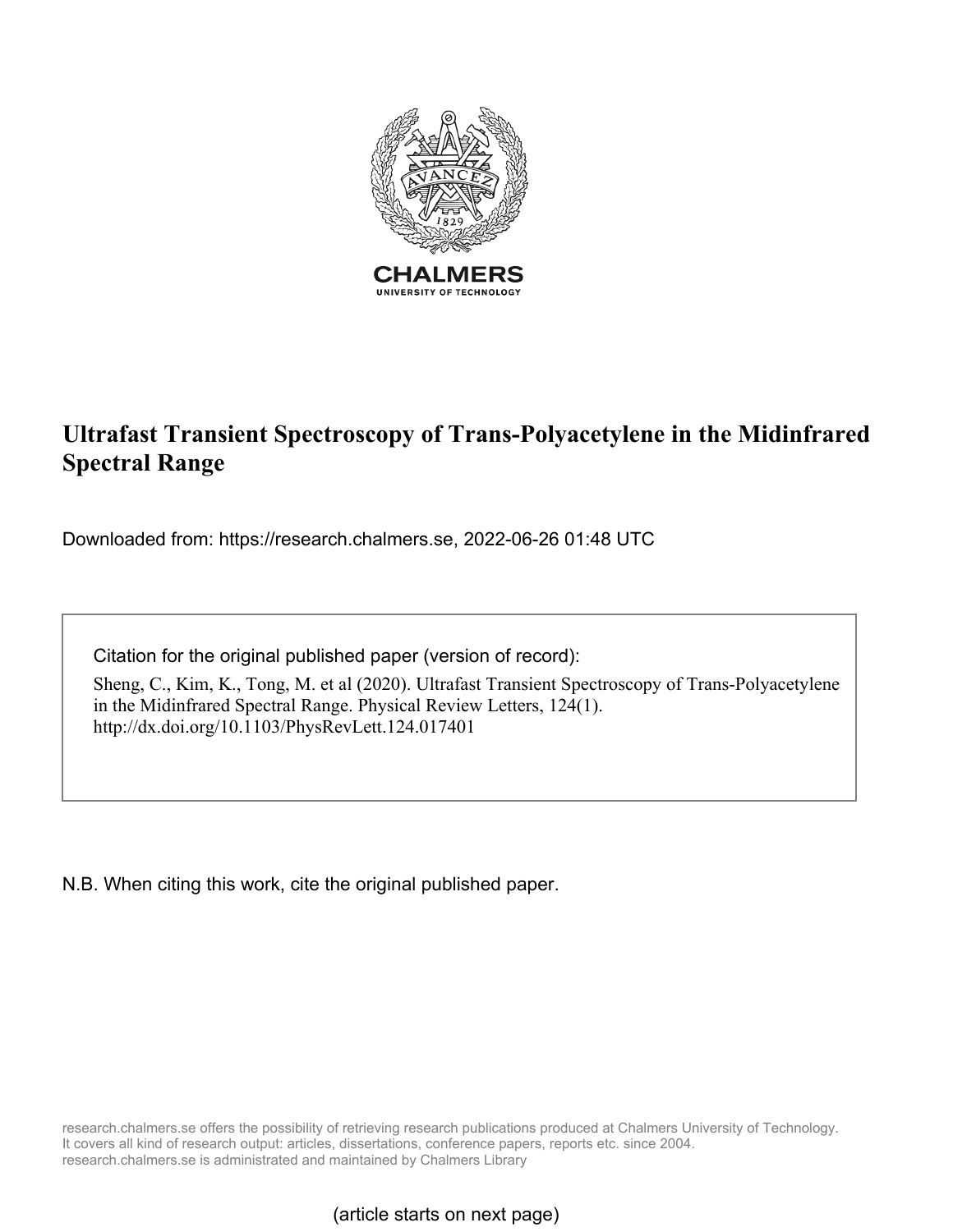

## **Ultrafast Transient Spectroscopy of Trans-Polyacetylene in the Midinfrared Spectral Range**

Downloaded from: https://research.chalmers.se, 2022-06-26 01:48 UTC

Citation for the original published paper (version of record):

Sheng, C., Kim, K., Tong, M. et al (2020). Ultrafast Transient Spectroscopy of Trans-Polyacetylene in the Midinfrared Spectral Range. Physical Review Letters, 124(1). http://dx.doi.org/10.1103/PhysRevLett.124.017401

N.B. When citing this work, cite the original published paper.

research.chalmers.se offers the possibility of retrieving research publications produced at Chalmers University of Technology. It covers all kind of research output: articles, dissertations, conference papers, reports etc. since 2004. research.chalmers.se is administrated and maintained by Chalmers Library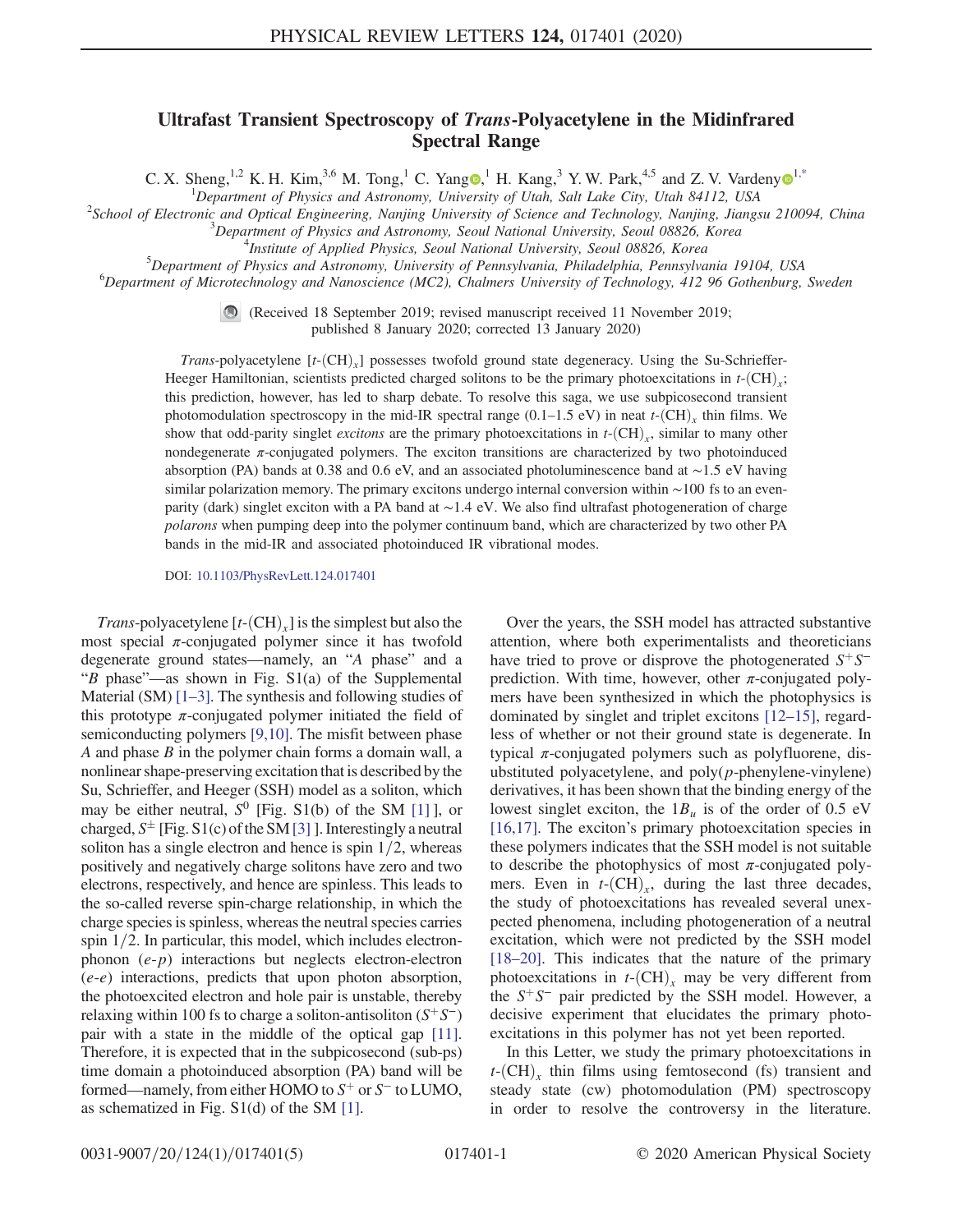## Ultrafast Transient Spectroscopy of Trans-Polyacetylene in the Midinfrared Spectral Range

C. X. Sheng,<sup>[1](https://orcid.org/0000-0002-2298-398X),2</sup> K. H. Kim,<sup>3,6</sup> M. Tong,<sup>1</sup> C. Yang  $\bullet$ ,<sup>1</sup> H. Kang,<sup>3</sup> Y. W. Park,<sup>4,5</sup> and Z. V. Vardeny  $\bullet$ <sup>1[,\\*](#page-5-0)</sup>

<span id="page-1-0"></span><sup>1</sup>Department of Physics and Astronomy, University of Utah, Salt Lake City, Utah 84112, USA<sup>2</sup>Sebool of Electronic and Optical Engineering, Nanjing University of Science and Technology Nanjing, Jiangs

<sup>2</sup>School of Electronic and Optical Engineering, Nanjing University of Science and Technology, Nanjing, Jiangsu 210094, China

 $3$ Department of Physics and Astronomy, Seoul National University, Seoul 08826, Korea

 $^{4}$ Institute of Applied Physics, Seoul National University, Seoul 08826, Korea

 ${}^{5}$ Department of Physics and Astronomy, University of Pennsylvania, Philadelphia, Pennsylvania 19104, USA

 ${}^{6}$ Department of Microtechnology and Nanoscience (MC2), Chalmers University of Technology, 412 96 Gothenburg, Sweden

(Received 18 September 2019; revised manuscript received 11 November 2019; published 8 January 2020; corrected 13 January 2020)

Trans-polyacetylene  $[t-(CH)_x]$  possesses twofold ground state degeneracy. Using the Su-Schrieffer-Heeger Hamiltonian, scientists predicted charged solitons to be the primary photoexcitations in  $t$ - $(CH)$ ; this prediction, however, has led to sharp debate. To resolve this saga, we use subpicosecond transient photomodulation spectroscopy in the mid-IR spectral range  $(0.1-1.5 \text{ eV})$  in neat t- $(\text{CH})$ <sub>x</sub> thin films. We show that odd-parity singlet *excitons* are the primary photoexcitations in  $t$ - $(CH)$ <sub>x</sub>, similar to many other nondegenerate π-conjugated polymers. The exciton transitions are characterized by two photoinduced absorption (PA) bands at 0.38 and 0.6 eV, and an associated photoluminescence band at ∼1.5 eV having similar polarization memory. The primary excitons undergo internal conversion within ∼100 fs to an evenparity (dark) singlet exciton with a PA band at ∼1.4 eV. We also find ultrafast photogeneration of charge polarons when pumping deep into the polymer continuum band, which are characterized by two other PA bands in the mid-IR and associated photoinduced IR vibrational modes.

DOI: [10.1103/PhysRevLett.124.017401](https://doi.org/10.1103/PhysRevLett.124.017401)

*Trans*-polyacetylene  $[t-(CH)_x]$  is the simplest but also the most special  $\pi$ -conjugated polymer since it has twofold degenerate ground states—namely, an "A phase" and a "B phase"—as shown in Fig. S1(a) of the Supplemental Material  $(SM)$  [\[1](#page-5-1)–3]. The synthesis and following studies of this prototype  $\pi$ -conjugated polymer initiated the field of semiconducting polymers [\[9,10\].](#page-5-2) The misfit between phase A and phase  $B$  in the polymer chain forms a domain wall, a nonlinear shape-preserving excitation that is described by the Su, Schrieffer, and Heeger (SSH) model as a soliton, which may be either neutral,  $S^0$  [Fig. S1(b) of the SM [\[1\]](#page-5-1)], or charged,  $S^{\pm}$  [Fig. S1(c) of the SM [\[3\]](#page-5-3) ]. Interestingly a neutral<br>soliton has a single electron and hence is spin 1/2, whereas soliton has a single electron and hence is spin  $1/2$ , whereas positively and negatively charge solitons have zero and two electrons, respectively, and hence are spinless. This leads to the so-called reverse spin-charge relationship, in which the charge species is spinless, whereas the neutral species carries spin  $1/2$ . In particular, this model, which includes electronphonon  $(e-p)$  interactions but neglects electron-electron  $(e-e)$  interactions, predicts that upon photon absorption, the photoexcited electron and hole pair is unstable, thereby relaxing within 100 fs to charge a soliton-antisoliton  $(S^+S^-)$ pair with a state in the middle of the optical gap [\[11\]](#page-5-4). Therefore, it is expected that in the subpicosecond (sub-ps) time domain a photoinduced absorption (PA) band will be formed—namely, from either HOMO to  $S^+$  or  $S^-$  to LUMO, as schematized in Fig. S1(d) of the SM [\[1\]](#page-5-1).

Over the years, the SSH model has attracted substantive attention, where both experimentalists and theoreticians have tried to prove or disprove the photogenerated  $S^+S^$ prediction. With time, however, other  $\pi$ -conjugated polymers have been synthesized in which the photophysics is dominated by singlet and triplet excitons [\[12](#page-5-5)–15], regardless of whether or not their ground state is degenerate. In typical  $\pi$ -conjugated polymers such as polyfluorene, disubstituted polyacetylene, and  $poly(p$ -phenylene-vinylene) derivatives, it has been shown that the binding energy of the lowest singlet exciton, the  $1B_u$  is of the order of 0.5 eV [\[16,17\]](#page-5-6). The exciton's primary photoexcitation species in these polymers indicates that the SSH model is not suitable to describe the photophysics of most  $\pi$ -conjugated polymers. Even in  $t$ - $(CH)$ <sup>r</sup>, during the last three decades, the study of photoexcitations has revealed several unexpected phenomena, including photogeneration of a neutral excitation, which were not predicted by the SSH model [\[18](#page-5-7)–20]. This indicates that the nature of the primary photoexcitations in  $t$ - $(CH)_x$  may be very different from the  $S^+S^-$  pair predicted by the SSH model. However, a decisive experiment that elucidates the primary photoexcitations in this polymer has not yet been reported.

In this Letter, we study the primary photoexcitations in  $t$ - $(CH)$ , thin films using femtosecond (fs) transient and steady state (cw) photomodulation (PM) spectroscopy in order to resolve the controversy in the literature.

0031-9007/20/124(1)/017401(5) 017401-1 © 2020 American Physical Society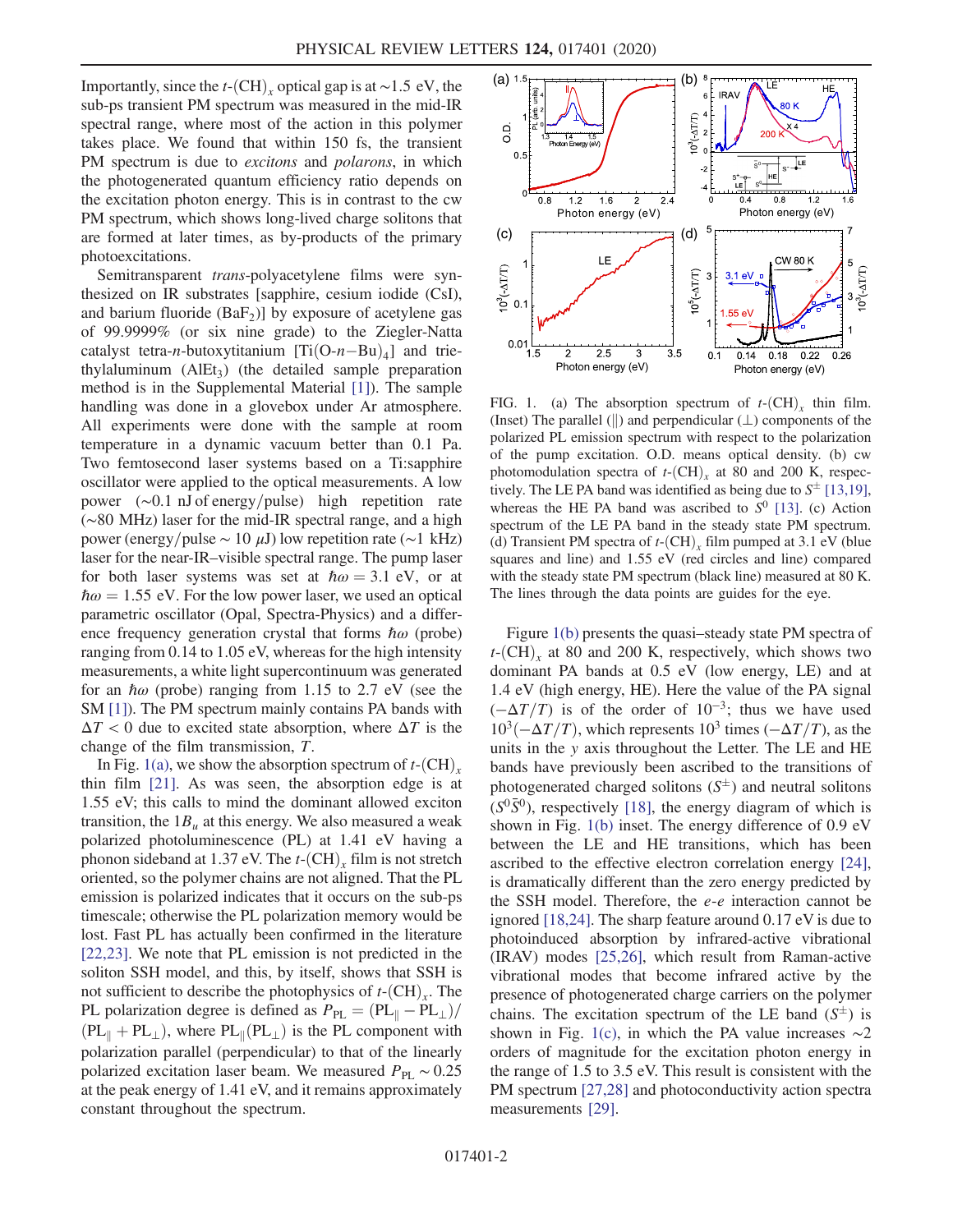Importantly, since the  $t$ - $(CH)$ <sub>x</sub> optical gap is at ~1.5 eV, the sub-ps transient PM spectrum was measured in the mid-IR spectral range, where most of the action in this polymer takes place. We found that within 150 fs, the transient PM spectrum is due to *excitons* and *polarons*, in which the photogenerated quantum efficiency ratio depends on the excitation photon energy. This is in contrast to the cw PM spectrum, which shows long-lived charge solitons that are formed at later times, as by-products of the primary photoexcitations.

Semitransparent *trans-polyacetylene* films were synthesized on IR substrates [sapphire, cesium iodide (CsI), and barium fluoride  $(BaF_2)$ ] by exposure of acetylene gas of 99.9999% (or six nine grade) to the Ziegler-Natta catalyst tetra-n-butoxytitanium  $[Ti(O-n-Bu)_4]$  and triethylaluminum  $(AIEt<sub>3</sub>)$  (the detailed sample preparation method is in the Supplemental Material [\[1\]\)](#page-5-1). The sample handling was done in a glovebox under Ar atmosphere. All experiments were done with the sample at room temperature in a dynamic vacuum better than 0.1 Pa. Two femtosecond laser systems based on a Ti:sapphire oscillator were applied to the optical measurements. A low power (∼0.1 nJ of energy/pulse) high repetition rate (∼80 MHz) laser for the mid-IR spectral range, and a high power (energy/pulse  $\sim 10 \mu$ J) low repetition rate (∼1 kHz) laser for the near-IR–visible spectral range. The pump laser for both laser systems was set at  $\hbar \omega = 3.1$  eV, or at  $\hbar \omega = 1.55$  eV. For the low power laser, we used an optical parametric oscillator (Opal, Spectra-Physics) and a difference frequency generation crystal that forms  $\hbar\omega$  (probe) ranging from 0.14 to 1.05 eV, whereas for the high intensity measurements, a white light supercontinuum was generated for an  $\hbar\omega$  (probe) ranging from 1.15 to 2.7 eV (see the SM [\[1\]\)](#page-5-1). The PM spectrum mainly contains PA bands with  $\Delta T$  < 0 due to excited state absorption, where  $\Delta T$  is the change of the film transmission, T.

In Fig. [1\(a\),](#page-2-0) we show the absorption spectrum of  $t$ - $(CH)$ <sub>x</sub> thin film [\[21\].](#page-5-8) As was seen, the absorption edge is at 1.55 eV; this calls to mind the dominant allowed exciton transition, the  $1B_u$  at this energy. We also measured a weak polarized photoluminescence (PL) at 1.41 eV having a phonon sideband at 1.37 eV. The  $t$ - $(CH)$ , film is not stretch oriented, so the polymer chains are not aligned. That the PL emission is polarized indicates that it occurs on the sub-ps timescale; otherwise the PL polarization memory would be lost. Fast PL has actually been confirmed in the literature [\[22,23\]](#page-5-9). We note that PL emission is not predicted in the soliton SSH model, and this, by itself, shows that SSH is not sufficient to describe the photophysics of  $t$ - $(CH)$ <sub>x</sub>. The PL polarization degree is defined as  $P_{PL} = (PL_{\parallel} - PL_{\perp})/$  $(PL_{\parallel} + PL_{\perp})$ , where  $PL_{\parallel}(PL_{\perp})$  is the PL component with polarization parallel (perpendicular) to that of the linearly polarized excitation laser beam. We measured  $P_{\text{PL}} \sim 0.25$ at the peak energy of 1.41 eV, and it remains approximately constant throughout the spectrum.

<span id="page-2-0"></span>

FIG. 1. (a) The absorption spectrum of  $t$ - $(CH)$ <sub>x</sub> thin film. (Inset) The parallel ( $\parallel$ ) and perpendicular ( $\perp$ ) components of the polarized PL emission spectrum with respect to the polarization of the pump excitation. O.D. means optical density. (b) cw photomodulation spectra of  $t$ - $(CH)$ <sub>r</sub> at 80 and 200 K, respectively. The LE PA band was identified as being due to  $S^{\pm}$  [\[13,19\],](#page-5-14)<br>whereas the HE PA band was ascribed to  $S^0$  [13] (c) Action whereas the HE PA band was ascribed to  $S^0$  [\[13\].](#page-5-14) (c) Action spectrum of the LE PA band in the steady state PM spectrum. (d) Transient PM spectra of  $t$ - $(CH)$ , film pumped at 3.1 eV (blue squares and line) and 1.55 eV (red circles and line) compared with the steady state PM spectrum (black line) measured at 80 K. The lines through the data points are guides for the eye.

Figure [1\(b\)](#page-2-0) presents the quasi–steady state PM spectra of  $t$ -(CH)<sub>x</sub> at 80 and 200 K, respectively, which shows two dominant PA bands at 0.5 eV (low energy, LE) and at 1.4 eV (high energy, HE). Here the value of the PA signal  $(-\Delta T/T)$  is of the order of 10<sup>-3</sup>; thus we have used  $10^3$  $(-\Delta T/T)$ , which represents  $10^3$  times  $(-\Delta T/T)$ , as the units in the y axis throughout the Letter. The LE and HE bands have previously been ascribed to the transitions of photogenerated charged solitons  $(S^{\pm})$  and neutral solitons  $(S^{\circ\sigma})$  respectively [18], the energy diagram of which is  $(S^{0} \bar{S}^{0})$ , respectively [\[18\],](#page-5-7) the energy diagram of which is shown in Fig. [1\(b\)](#page-2-0) inset. The energy difference of 0.9 eV between the LE and HE transitions, which has been ascribed to the effective electron correlation energy [\[24\]](#page-5-10), is dramatically different than the zero energy predicted by the SSH model. Therefore, the e-e interaction cannot be ignored [\[18,24\].](#page-5-7) The sharp feature around 0.17 eV is due to photoinduced absorption by infrared-active vibrational (IRAV) modes [\[25,26\],](#page-5-11) which result from Raman-active vibrational modes that become infrared active by the presence of photogenerated charge carriers on the polymer chains. The excitation spectrum of the LE band  $(S^{\pm})$  is<br>shown in Fig. 1(c) in which the PA value increases  $\sim$ 2 shown in Fig. [1\(c\)](#page-2-0), in which the PA value increases  $\sim$ 2 orders of magnitude for the excitation photon energy in the range of 1.5 to 3.5 eV. This result is consistent with the PM spectrum [\[27,28\]](#page-5-12) and photoconductivity action spectra measurements [\[29\]](#page-5-13).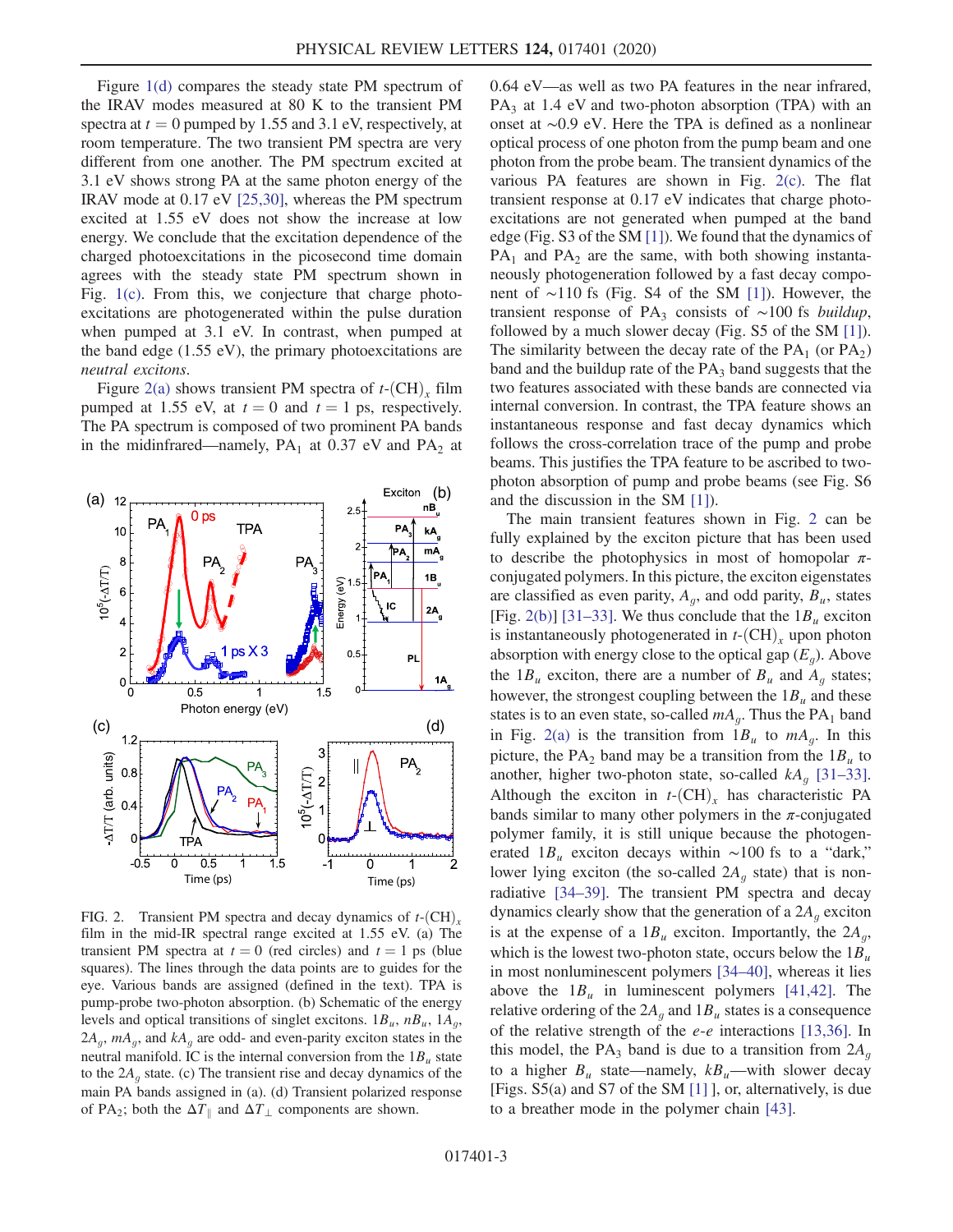Figure [1\(d\)](#page-2-0) compares the steady state PM spectrum of the IRAV modes measured at 80 K to the transient PM spectra at  $t = 0$  pumped by 1.55 and 3.1 eV, respectively, at room temperature. The two transient PM spectra are very different from one another. The PM spectrum excited at 3.1 eV shows strong PA at the same photon energy of the IRAV mode at 0.17 eV [\[25,30\],](#page-5-11) whereas the PM spectrum excited at 1.55 eV does not show the increase at low energy. We conclude that the excitation dependence of the charged photoexcitations in the picosecond time domain agrees with the steady state PM spectrum shown in Fig. [1\(c\).](#page-2-0) From this, we conjecture that charge photoexcitations are photogenerated within the pulse duration when pumped at 3.1 eV. In contrast, when pumped at the band edge (1.55 eV), the primary photoexcitations are neutral excitons.

Figure [2\(a\)](#page-3-0) shows transient PM spectra of  $t$ -(CH), film pumped at 1.55 eV, at  $t = 0$  and  $t = 1$  ps, respectively. The PA spectrum is composed of two prominent PA bands in the midinfrared—namely,  $PA_1$  at 0.37 eV and  $PA_2$  at

<span id="page-3-0"></span>

FIG. 2. Transient PM spectra and decay dynamics of  $t$ - $(CH)$ <sub>x</sub> film in the mid-IR spectral range excited at 1.55 eV. (a) The transient PM spectra at  $t = 0$  (red circles) and  $t = 1$  ps (blue squares). The lines through the data points are to guides for the eye. Various bands are assigned (defined in the text). TPA is pump-probe two-photon absorption. (b) Schematic of the energy levels and optical transitions of singlet excitons.  $1B_u$ ,  $nB_u$ ,  $1A_g$ ,  $2A_{a}$ ,  $mA_{a}$ , and  $kA_{a}$  are odd- and even-parity exciton states in the neutral manifold. IC is the internal conversion from the  $1B<sub>u</sub>$  state to the  $2A<sub>g</sub>$  state. (c) The transient rise and decay dynamics of the main PA bands assigned in (a). (d) Transient polarized response of PA<sub>2</sub>; both the  $\Delta T_{\parallel}$  and  $\Delta T_{\perp}$  components are shown.

0.64 eV—as well as two PA features in the near infrared, PA<sub>3</sub> at 1.4 eV and two-photon absorption (TPA) with an onset at ∼0.9 eV. Here the TPA is defined as a nonlinear optical process of one photon from the pump beam and one photon from the probe beam. The transient dynamics of the various PA features are shown in Fig. [2\(c\)](#page-3-0). The flat transient response at 0.17 eV indicates that charge photoexcitations are not generated when pumped at the band edge (Fig. S3 of the SM [\[1\]\)](#page-5-1). We found that the dynamics of  $PA_1$  and  $PA_2$  are the same, with both showing instantaneously photogeneration followed by a fast decay component of ∼110 fs (Fig. S4 of the SM [\[1\]](#page-5-1)). However, the transient response of PA<sub>3</sub> consists of ∼100 fs buildup, followed by a much slower decay (Fig. S5 of the SM [\[1\]](#page-5-1)). The similarity between the decay rate of the  $PA_1$  (or  $PA_2$ ) band and the buildup rate of the  $PA_3$  band suggests that the two features associated with these bands are connected via internal conversion. In contrast, the TPA feature shows an instantaneous response and fast decay dynamics which follows the cross-correlation trace of the pump and probe beams. This justifies the TPA feature to be ascribed to twophoton absorption of pump and probe beams (see Fig. S6 and the discussion in the SM [\[1\]\)](#page-5-1).

The main transient features shown in Fig. [2](#page-3-0) can be fully explained by the exciton picture that has been used to describe the photophysics in most of homopolar  $\pi$ conjugated polymers. In this picture, the exciton eigenstates are classified as even parity,  $A_q$ , and odd parity,  $B_u$ , states [Fig. [2\(b\)\]](#page-3-0) [\[31](#page-5-15)–33]. We thus conclude that the  $1B_u$  exciton is instantaneously photogenerated in  $t$ - $(CH)$ , upon photon absorption with energy close to the optical gap  $(E_q)$ . Above the  $1B_u$  exciton, there are a number of  $B_u$  and  $A_g$  states; however, the strongest coupling between the  $1B_u$  and these states is to an even state, so-called  $mA_q$ . Thus the PA<sub>1</sub> band in Fig. [2\(a\)](#page-3-0) is the transition from  $1B_u$  to  $mA_g$ . In this picture, the PA<sub>2</sub> band may be a transition from the  $1B_u$  to another, higher two-photon state, so-called  $kA_q$  [\[31](#page-5-15)–33]. Although the exciton in  $t$ - $(CH)$ <sub>x</sub> has characteristic PA bands similar to many other polymers in the  $\pi$ -conjugated polymer family, it is still unique because the photogenerated  $1B_u$  exciton decays within ∼100 fs to a "dark," lower lying exciton (the so-called  $2A<sub>q</sub>$  state) that is nonradiative [\[34](#page-5-16)–39]. The transient PM spectra and decay dynamics clearly show that the generation of a  $2A<sub>q</sub>$  exciton is at the expense of a  $1B_u$  exciton. Importantly, the  $2A_g$ , which is the lowest two-photon state, occurs below the  $1B_u$ in most nonluminescent polymers [34–[40\],](#page-5-16) whereas it lies above the  $1B_u$  in luminescent polymers [\[41,42\].](#page-5-17) The relative ordering of the  $2A_g$  and  $1B_u$  states is a consequence of the relative strength of the  $e$ - $e$  interactions [\[13,36\].](#page-5-14) In this model, the PA<sub>3</sub> band is due to a transition from  $2A<sub>q</sub>$ to a higher  $B_u$  state—namely,  $kB_u$ —with slower decay [Figs. S5(a) and S7 of the SM [\[1\]](#page-5-1) ], or, alternatively, is due to a breather mode in the polymer chain [\[43\]](#page-5-18).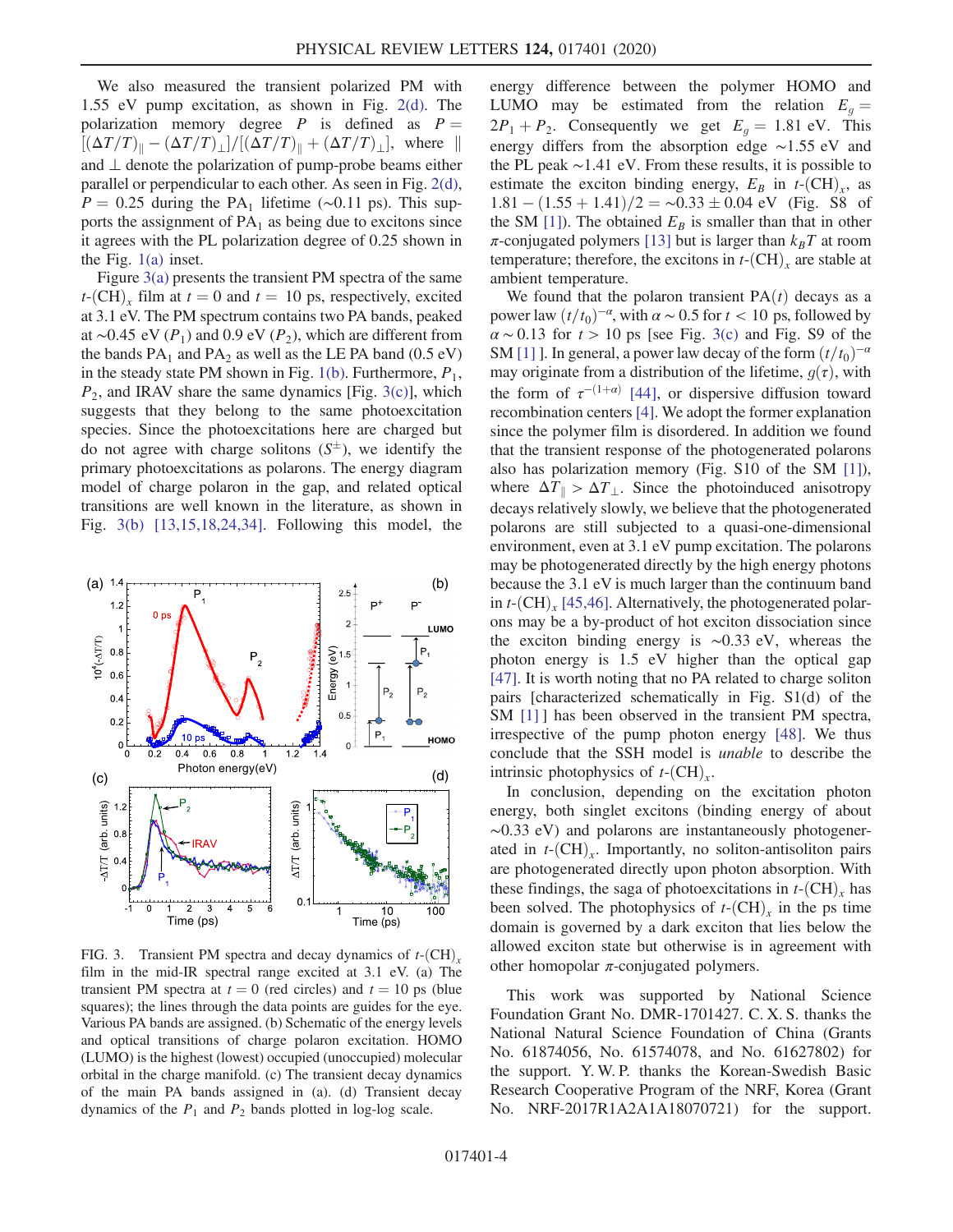We also measured the transient polarized PM with 1.55 eV pump excitation, as shown in Fig. [2\(d\).](#page-3-0) The polarization memory degree  $P$  is defined as  $P =$  $[(\Delta T/T)_{\parallel}-(\Delta T/T)_{\perp}]/[(\Delta T/T)_{\parallel}+(\Delta T/T)_{\perp}],$  where  $\parallel$ and ⊥ denote the polarization of pump-probe beams either parallel or perpendicular to each other. As seen in Fig. [2\(d\)](#page-3-0),  $P = 0.25$  during the PA<sub>1</sub> lifetime (∼0.11 ps). This supports the assignment of  $PA_1$  as being due to excitons since it agrees with the PL polarization degree of 0.25 shown in the Fig. [1\(a\)](#page-2-0) inset.

Figure [3\(a\)](#page-4-0) presents the transient PM spectra of the same  $t$ -(CH)<sub>x</sub> film at  $t = 0$  and  $t = 10$  ps, respectively, excited at 3.1 eV. The PM spectrum contains two PA bands, peaked at ~0.45 eV ( $P_1$ ) and 0.9 eV ( $P_2$ ), which are different from the bands  $PA_1$  and  $PA_2$  as well as the LE PA band (0.5 eV) in the steady state PM shown in Fig. [1\(b\).](#page-2-0) Furthermore,  $P_1$ ,  $P_2$ , and IRAV share the same dynamics [Fig. [3\(c\)](#page-4-0)], which suggests that they belong to the same photoexcitation species. Since the photoexcitations here are charged but do not agree with charge solitons  $(S^{\pm})$ , we identify the primary photoexcitations as polarons. The energy diagram primary photoexcitations as polarons. The energy diagram model of charge polaron in the gap, and related optical transitions are well known in the literature, as shown in Fig. [3\(b\)](#page-4-0) [\[13,15,18,24,34\].](#page-5-14) Following this model, the

<span id="page-4-0"></span>

FIG. 3. Transient PM spectra and decay dynamics of  $t$ - $(CH)$ , film in the mid-IR spectral range excited at 3.1 eV. (a) The transient PM spectra at  $t = 0$  (red circles) and  $t = 10$  ps (blue squares); the lines through the data points are guides for the eye. Various PA bands are assigned. (b) Schematic of the energy levels and optical transitions of charge polaron excitation. HOMO (LUMO) is the highest (lowest) occupied (unoccupied) molecular orbital in the charge manifold. (c) The transient decay dynamics of the main PA bands assigned in (a). (d) Transient decay dynamics of the  $P_1$  and  $P_2$  bands plotted in log-log scale.

energy difference between the polymer HOMO and LUMO may be estimated from the relation  $E<sub>g</sub> =$  $2P_1 + P_2$ . Consequently we get  $E_q = 1.81$  eV. This energy differs from the absorption edge ∼1.55 eV and the PL peak ∼1.41 eV. From these results, it is possible to estimate the exciton binding energy,  $E_B$  in  $t$ -(CH)<sub>x</sub>, as  $1.81 - (1.55 + 1.41)/2 = \sim 0.33 \pm 0.04$  eV (Fig. S8 of the SM [11) The obtained  $F_2$  is smaller than that in other the SM [\[1\]](#page-5-1)). The obtained  $E_B$  is smaller than that in other  $\pi$ -conjugated polymers [\[13\]](#page-5-14) but is larger than  $k_BT$  at room temperature; therefore, the excitons in  $t$ - $(CH)$ <sub>x</sub> are stable at ambient temperature.

We found that the polaron transient  $PA(t)$  decays as a power law  $(t/t_0)^{-\alpha}$ , with  $\alpha \sim 0.5$  for  $t < 10$  ps, followed by  $\alpha \sim 0.13$  for  $t > 10$  ps [see Fig. [3\(c\)](#page-4-0) and Fig. S9 of the SM [\[1\]](#page-5-1) ]. In general, a power law decay of the form  $(t/t_0)^{-\alpha}$ may originate from a distribution of the lifetime,  $g(\tau)$ , with the form of  $\tau^{-(1+\alpha)}$  [\[44\]](#page-5-19), or dispersive diffusion toward recombination centers [\[4\].](#page-5-20) We adopt the former explanation since the polymer film is disordered. In addition we found that the transient response of the photogenerated polarons also has polarization memory (Fig. S10 of the SM [\[1\]](#page-5-1)), where  $\Delta T_{\parallel} > \Delta T_{\perp}$ . Since the photoinduced anisotropy decays relatively slowly, we believe that the photogenerated polarons are still subjected to a quasi-one-dimensional environment, even at 3.1 eV pump excitation. The polarons may be photogenerated directly by the high energy photons because the 3.1 eV is much larger than the continuum band in  $t$ - $\rm (CH)$ , [\[45,46\]](#page-5-21). Alternatively, the photogenerated polarons may be a by-product of hot exciton dissociation since the exciton binding energy is ∼0.33 eV, whereas the photon energy is 1.5 eV higher than the optical gap [\[47\]](#page-5-22). It is worth noting that no PA related to charge soliton pairs [characterized schematically in Fig. S1(d) of the SM [\[1\]](#page-5-1) has been observed in the transient PM spectra, irrespective of the pump photon energy [\[48\]](#page-5-23). We thus conclude that the SSH model is unable to describe the intrinsic photophysics of  $t$ - $(CH)$ <sub>x</sub>.

In conclusion, depending on the excitation photon energy, both singlet excitons (binding energy of about ∼0.33 eV) and polarons are instantaneously photogenerated in  $t$ - $(CH)$ <sub>x</sub>. Importantly, no soliton-antisoliton pairs are photogenerated directly upon photon absorption. With these findings, the saga of photoexcitations in  $t$ - $(CH)$ <sub>r</sub> has been solved. The photophysics of  $t$ - $(CH)$ <sub>r</sub> in the ps time domain is governed by a dark exciton that lies below the allowed exciton state but otherwise is in agreement with other homopolar  $\pi$ -conjugated polymers.

This work was supported by National Science Foundation Grant No. DMR-1701427. C. X. S. thanks the National Natural Science Foundation of China (Grants No. 61874056, No. 61574078, and No. 61627802) for the support. Y. W. P. thanks the Korean-Swedish Basic Research Cooperative Program of the NRF, Korea (Grant No. NRF-2017R1A2A1A18070721) for the support.